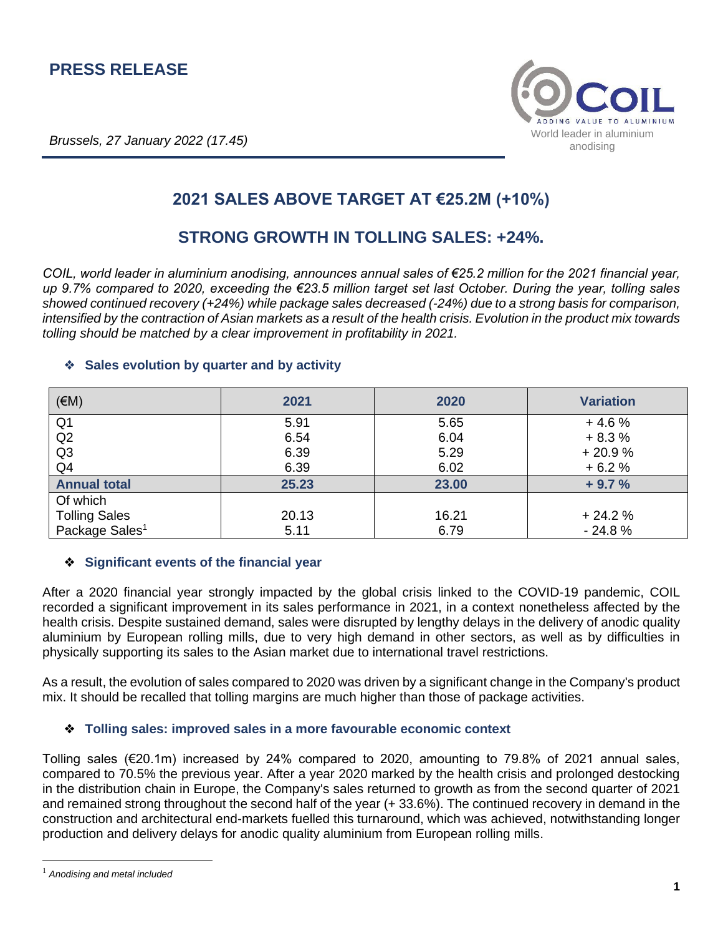**Brussels, 27 January 2022 (17.45)** World leader in aluminium



# **2021 SALES ABOVE TARGET AT €25.2M (+10%)**

## **STRONG GROWTH IN TOLLING SALES: +24%.**

*COIL, world leader in aluminium anodising, announces annual sales of €25.2 million for the 2021 financial year, up 9.7% compared to 2020, exceeding the €23.5 million target set last October. During the year, tolling sales showed continued recovery (+24%) while package sales decreased (-24%) due to a strong basis for comparison, intensified by the contraction of Asian markets as a result of the health crisis. Evolution in the product mix towards tolling should be matched by a clear improvement in profitability in 2021.*

### (€M) **2021 2020 Variation** Q1 5.91 5.65 + 4.6 %  $\hbox{Q2} \hspace{1.5cm} \hbox{6.54} \hspace{1.5cm} \hbox{6.04} \hspace{1.5cm} \hbox{6.3\%}$ Q3 6.39 5.29 + 20.9 %  $\hbox{Q4} \hspace{1.5cm} + 6.2 \, \%$ **Annual total 25.23 23.00 + 9.7 %** Of which Tolling Sales 20.13 16.21 + 24.2 % Package Sales<sup>1</sup>  $5.11$   $6.79$   $12.8\%$

#### ❖ **Sales evolution by quarter and by activity**

#### ❖ **Significant events of the financial year**

After a 2020 financial year strongly impacted by the global crisis linked to the COVID-19 pandemic, COIL recorded a significant improvement in its sales performance in 2021, in a context nonetheless affected by the health crisis. Despite sustained demand, sales were disrupted by lengthy delays in the delivery of anodic quality aluminium by European rolling mills, due to very high demand in other sectors, as well as by difficulties in physically supporting its sales to the Asian market due to international travel restrictions.

As a result, the evolution of sales compared to 2020 was driven by a significant change in the Company's product mix. It should be recalled that tolling margins are much higher than those of package activities.

#### ❖ **Tolling sales: improved sales in a more favourable economic context**

Tolling sales (€20.1m) increased by 24% compared to 2020, amounting to 79.8% of 2021 annual sales, compared to 70.5% the previous year. After a year 2020 marked by the health crisis and prolonged destocking in the distribution chain in Europe, the Company's sales returned to growth as from the second quarter of 2021 and remained strong throughout the second half of the year (+ 33.6%). The continued recovery in demand in the construction and architectural end-markets fuelled this turnaround, which was achieved, notwithstanding longer production and delivery delays for anodic quality aluminium from European rolling mills.

<sup>1</sup> *Anodising and metal included*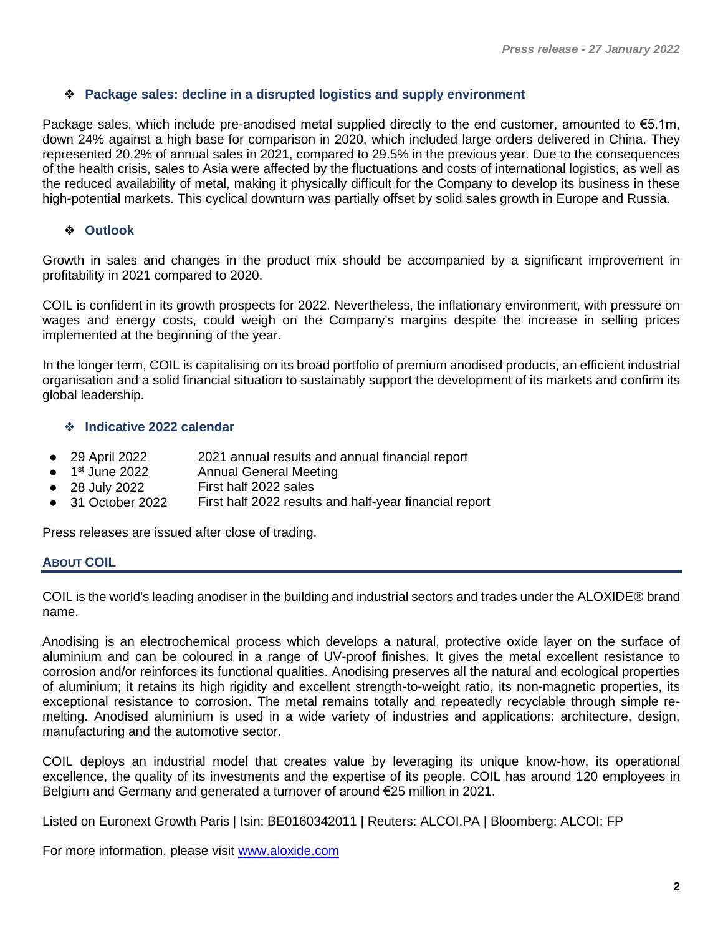#### ❖ **Package sales: decline in a disrupted logistics and supply environment**

Package sales, which include pre-anodised metal supplied directly to the end customer, amounted to €5.1m, down 24% against a high base for comparison in 2020, which included large orders delivered in China. They represented 20.2% of annual sales in 2021, compared to 29.5% in the previous year. Due to the consequences of the health crisis, sales to Asia were affected by the fluctuations and costs of international logistics, as well as the reduced availability of metal, making it physically difficult for the Company to develop its business in these high-potential markets. This cyclical downturn was partially offset by solid sales growth in Europe and Russia.

#### ❖ **Outlook**

Growth in sales and changes in the product mix should be accompanied by a significant improvement in profitability in 2021 compared to 2020.

COIL is confident in its growth prospects for 2022. Nevertheless, the inflationary environment, with pressure on wages and energy costs, could weigh on the Company's margins despite the increase in selling prices implemented at the beginning of the year.

In the longer term, COIL is capitalising on its broad portfolio of premium anodised products, an efficient industrial organisation and a solid financial situation to sustainably support the development of its markets and confirm its global leadership.

#### ❖ **Indicative 2022 calendar**

- 29 April 2022 2021 annual results and annual financial report
- $\bullet$  1<sup>st</sup> June 2022 Annual General Meeting
- 28 July 2022 First half 2022 sales
- 31 October 2022 First half 2022 results and half-year financial report

Press releases are issued after close of trading.

#### **ABOUT COIL**

COIL is the world's leading anodiser in the building and industrial sectors and trades under the ALOXIDE<sup>®</sup> brand name.

Anodising is an electrochemical process which develops a natural, protective oxide layer on the surface of aluminium and can be coloured in a range of UV-proof finishes. It gives the metal excellent resistance to corrosion and/or reinforces its functional qualities. Anodising preserves all the natural and ecological properties of aluminium; it retains its high rigidity and excellent strength-to-weight ratio, its non-magnetic properties, its exceptional resistance to corrosion. The metal remains totally and repeatedly recyclable through simple remelting. Anodised aluminium is used in a wide variety of industries and applications: architecture, design, manufacturing and the automotive sector.

COIL deploys an industrial model that creates value by leveraging its unique know-how, its operational excellence, the quality of its investments and the expertise of its people. COIL has around 120 employees in Belgium and Germany and generated a turnover of around €25 million in 2021.

Listed on Euronext Growth Paris | Isin: BE0160342011 | Reuters: ALCOI.PA | Bloomberg: ALCOI: FP

For more information, please visit [www.aloxide.com](http://www.aloxide.com/)